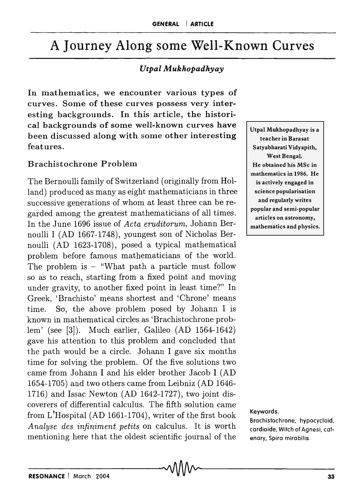# A Journey Along some Well-Known Curves

## *UtpalAfukhopadhyay*

In mathematics, we encounter various types of curves. Some of these curves possess very interesting backgrounds. In this article, the historical backgrounds of some well-known curves have been discussed along with some other interesting features.

## Brachistochrone Problem

The Bernoulli family of Switzerland (originally from Holland) produced as many as eight mathematicians in three successive generations of whom at least three can be regarded among the greatest mathematicians of all times. In the June 1696 issue of *Acta eruditorum,* Johann Bernoulli I (AD 1667-1748), youngest son of Nicholas Bernoulli (AD 1623-1708), posed a typical mathematical problem before famous mathematicians of the world. The problem is  $-$  "What path a particle must follow so as to reach, starting from a fixed point and moving under gravity, to another fixed point in least time?" In Greek, 'Brachisto' means shortest and 'Chrone' means time. So, the above problem posed by Johann I is known in mathematical circles as 'Brachistochrone problem' (see [3]). Much earlier, Galileo (AD 1564-1642) gave his attention to this problem and concluded that the path would be a circle. Johann I gave six months time for solving the problem. Of the five solutions two came from Johann I and his elder brother Jacob I (AD 1654-1705) and two others came from Leibniz (AD 1646- 1716) and Issac Newton (AD 1642-1727), two joint discoverers of differential calculus. The fifth solution came from L~Hospital (AD 1661-1704), writer of the first book *A nalyse des infiniment petits* on calculus. It is worth mentioning here that the oldest scientific journal of the

Utpal Mukhopadhyay is a teacher in Barasat Satyabharati Vidyapith, West Bengal. He obtained his MSc in mathematics in 1986. He is actively engaged in science popularisation and regularly writes popular and semi-popular articles on astronomy, mathematics and physics.

#### Keywords.

Brachistochrone, hypocycloid, cardioide, Witch of Agnesi, catenary, Spira mirabilis.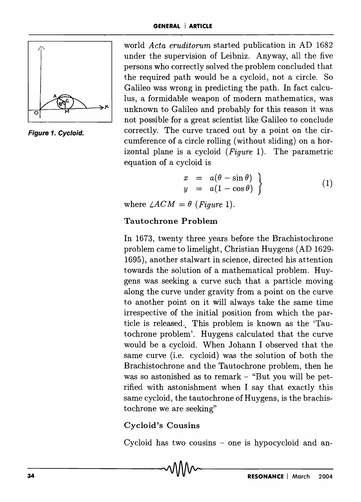

Figure 1. Cycloid.

world *Acta eruditorum* started publication in AD 1682 under the supervision of Leibniz. Anyway, all the five persons who correctly solved the problem concluded that the required path would be a cycloid, not a circle. So Galileo was wrong in predicting the path. In fact calculus, a formidable weapon of modern mathematics, was unknown to Galileo and probably for this reason it was not possible for a great scientist like Galileo to conclude correctly. The curve traced out by a point on the circumference of a circle rolling (without sliding) on a horizontal plane is a cycloid *(Figure* 1). The parametric equation of a cycloid is

$$
\begin{array}{rcl}\nx & = & a(\theta - \sin \theta) \\
y & = & a(1 - \cos \theta)\n\end{array}
$$
\n(1)

where  $\angle ACM = \theta$  (Figure 1).

## Tautochrone Problem

In 1673, twenty three years before the Brachistochrone problem came to limelight, Christian Huygens (AD 1629- 1695), another stalwart in science, directed his attention towards the solution of a mathematical problem. Huygens was seeking a curve such that a particle moving along the curve under gravity from a point on the curve to another point on it will always take the same time irrespective of the initial position from which the particle is released. This problem is known as the 'Tautochrone problem'. Huygens calculated that the curve would be a cycloid. When Johann I observed that the same curve (i.e. cycloid) was the solution of both the Brachistochrone and the Tautochrone problem, then he was so astonished as to remark  $-$  "But you will be petrified with astonishment when I say that exactly this same cycloid, the tautochrone of Huygens, is the brachistochrone we are seeking"

## Cycloid's Cousins

Cycloid has two cousins  $-$  one is hypocycloid and an-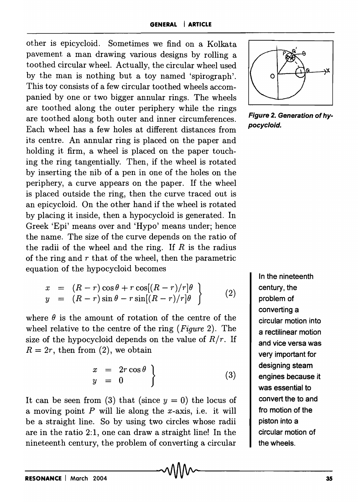other is epicycloid. Sometimes we find on a Kolkata pavement a man drawing various designs by rolling a toothed circular wheel. Actually, the circular wheel used by the man is nothing but a toy named 'spirograph'. This toy consists of a few circular toothed wheels accompanied by one or two bigger annular rings. The wheels are toothed along the outer periphery while the rings are toothed along both outer and inner circumferences. Each wheel has a few holes at different distances from its centre. An annular ring is placed on the paper and holding it firm, a wheel is placed on the paper touching the ring tangentially. Then, if the wheel is rotated by inserting the nib of a pen in one of the holes on the periphery, a curve appears on the paper. If the wheel is placed outside the ring, then the curve traced out is an epicycloid. On the other hand if the wheel is rotated by placing it inside, then a hypocycloid is generated. In Greek 'Epi' means over and 'Hypo' means under; hence the name. The size of the curve depends on the ratio of the radii of the wheel and the ring. If  $R$  is the radius of the ring and  $r$  that of the wheel, then the parametric equation of the hypocycloid becomes

$$
x = (R - r) \cos \theta + r \cos[(R - r)/r] \theta
$$
  
\n
$$
y = (R - r) \sin \theta - r \sin[(R - r)/r] \theta
$$
\n(2)

where  $\theta$  is the amount of rotation of the centre of the wheel relative to the centre of the ring *(Figure* 2). The size of the hypocycloid depends on the value of  $R/r$ . If  $R = 2r$ , then from (2), we obtain

$$
\left.\begin{array}{rcl}\nx & = & 2r\cos\theta \\
y & = & 0\n\end{array}\right\}\n\tag{3}
$$

It can be seen from (3) that (since  $y = 0$ ) the locus of a moving point  $P$  will lie along the x-axis, i.e. it will be a straight line. So by using two circles whose radii are in the ratio 2:1, one can draw a straight line! In the nineteenth century, the problem of converting a circular



Figure 2. Generation of hypocycloid.

In the nineteenth century, the problem of converting a circular motion into a rectilinear motion and vice versa was very important for designing steam engines because it was essential to convert the to and fro motion of the piston into a circular motion of the wheels.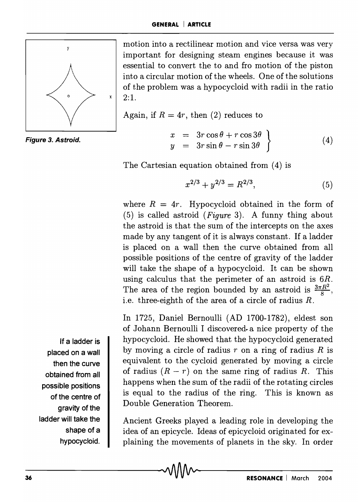

Figure 3. Astroid.

motion into a rectilinear motion and vice versa was very important for designing steam engines because it was essential to convert the to and fro motion of the piston into a circular motion of the wheels. One of the solutions of the problem was a hypocycloid with radii in the ratio 2:1.

Again, if  $R = 4r$ , then (2) reduces to

 $x = 3r \cos \theta + r \cos 3\theta$  $y = 3r \sin \theta - r \sin 3\theta$ (4)

The Cartesian equation obtained from (4) is

$$
x^{2/3} + y^{2/3} = R^{2/3},\tag{5}
$$

where  $R = 4r$ . Hypocycloid obtained in the form of (5) is called astroid *(Figure* 3). A funny thing about the astroid is that the sum of the intercepts on the axes made by any tangent of it is always constant. If a ladder is placed on a wall then the curve obtained from all possible positions of the centre of gravity of the ladder will take the shape of a hypocycloid. It can be shown using calculus that the perimeter of an astroid is 6R. The area of the region bounded by an astroid is  $\frac{3\pi R^2}{8}$ , i.e. three-eighth of the area of a circle of radius *R.* 

In 1725, Daniel Bernoulli (AD 1700-1782), eldest son of Johann Bernoulli I discovered a nice property of the hypocycloid. He showed that the hypocycloid generated by moving a circle of radius *r* on a ring of radius *R* is equivalent to the cycloid generated by moving a circle of radius  $(R - r)$  on the same ring of radius R. This happens when the sum of the radii of the rotating circles is equal to the radius of the ring. This is known as Double Generation Theorem.

Ancient Greeks played a leading role in developing the idea of an epicycle. Ideas of epicycloid originated for explaining the movements of planets in the sky. In order

If a ladder is placed on a wall then the curve obtained from all possible positions of the centre of gravity of the ladder will take the shape of a hypocycloid.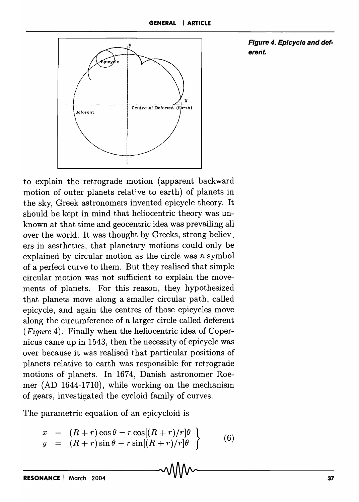

Figure 4. Epicycle and deferent.

to explain the retrograde motion (apparent backward motion of outer planets relative to earth) of planets in the sky, Greek astronomers invented epicycle theory. It should be kept in mind that heliocentric theory was unknown at that time and geocentric idea was prevailing all over the world. It was thought by Greeks, strong believ. ers in aesthetics, that planetary motions could only be explained by circular motion as the circle was a symbol of a perfect curve to them. But they realised that simple circular motion was not sufficient to explain the movements of planets. For this reason, they hypothesized that planets move along a smaller circular path, called epicycle, and again the centres of those epicycles move along the circumference of a larger circle called deferent *(Figure* 4). Finally when the heliocentric idea of Copernicus came up in 1543, then the necessity of epicycle was over because it was realised that particular positions of planets relative to earth was responsible for retrograde motions of planets. In 1674, Danish astronomer Roemer (AD 1644-1710), while working on the mechanism of gears, investigated the cycloid family of curves.

The parametric equation of an epicycloid is

$$
x = (R+r)\cos\theta - r\cos[(R+r)/r]\theta
$$
  
\n
$$
y = (R+r)\sin\theta - r\sin[(R+r)/r]\theta
$$
\n(6)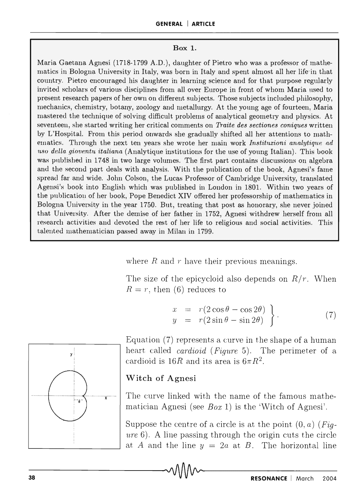### Box 1.

Maria Gaetana Agnesi (1718-1799 A.D.), daughter of Pietro who was a professor of mathematics in Bologna University in Italy, was born in Italy and spent almost all her life-in that country. Pietro encouraged his daughter in learning science and for that purpose regularly invited scholars of various disciplines from all over Europe in front of whom Maria used to present research papers of her own on different subjects. Those subjects included philosophy, mechanics, chemistry, botany, zoology and metallurgy. At the young age of fourteen, Maria mastered the technique of solving difficult problems of analytical geometry and physics. At seventeen, she started writing her critical comments on *Tmite des sectiones coniques* written by L'Hospital. From this period onwards she gradually shifted all her attentions to mathematics. Through the next ten years she wrote her main work *Instituzioni analytique ad 1180 della gioventu italiana* (Analytique institutions for the use of young Italian). This book was published in 1748 in two large volumes. The first part contains discussions on algebra and the second part deals with analysis. With the publication of the book, Agnesi's fame spread far and wide. John Colson, the Lucas Professor of Cambridge University, translated Agensi's book into English which was published in London in 1801. Within two years of the publication of her book, Pope Benedict XIV offered her professorship of mathematics in Bologna Ulliversity in the year 1750. But, treating that post as honorary, she never joined that University. After the demise of her father in 1752, Agnesi withdrew herself from all research activities and devoted the rest of her life to religious and social activities. This talented mathematician passed away in Milan in 1799.

where  $R$  and  $r$  have their previous meanings.

The size of the epicycloid also depends on  $R/r$ . When  $R = r$ , then (6) reduces to

$$
\begin{array}{rcl}\nx & = & r(2\cos\theta - \cos 2\theta) \\
y & = & r(2\sin\theta - \sin 2\theta)\n\end{array}
$$
\n(7)



Equation (7) represents a curve in the shape of a human heart called *cardioid (F'igure* 5). The perimeter of a cardioid is  $16R$  and its area is  $6\pi R^2$ .

## Witch of Agnesi

The curve linked with the name of the famous mathematician Agnesi (see *Box* 1) is the 'Witch of Agnesi'.

Suppose the centre of a circle is at the point (0, *a) (Figure* 6). A line passing through the origin cuts the circle at *A* and the line  $y = 2a$  at *B*. The horizontal line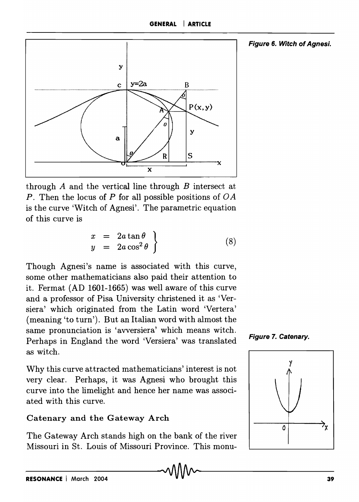

through *A* and the vertical line through *B* intersect at *P*. Then the locus of *P* for all possible positions of *OA* is the curve 'Witch of Agnesi'. The parametric equation of this curve is

$$
\begin{array}{rcl}\nx & = & 2a \tan \theta \\
y & = & 2a \cos^2 \theta\n\end{array}
$$
\n(8)

Though Agnesi's name is associated with this curve, some other mathematicians also paid their attention to it. Fermat (AD 1601-1665) was well aware of this curve and a professor of Pisa University christened it as 'Versiera' which originated from the Latin word 'Vertera' (meaning 'to turn'). But an Italian word with almost the same pronunciation is 'avversiera' which means witch. Perhaps in England the word 'Versiera' was translated as witch.

Why this curve attracted mathematicians' interest is not very clear. Perhaps, it was Agnesi who brought this curve into the limelight and hence her name was associated with this curve.

## Catenary and the Gateway Arch

The Gateway Arch stands high on the bank of the river Missouri in St. Louis of Missouri Province. This monu-



Figure 6. Witch of Agnesi.

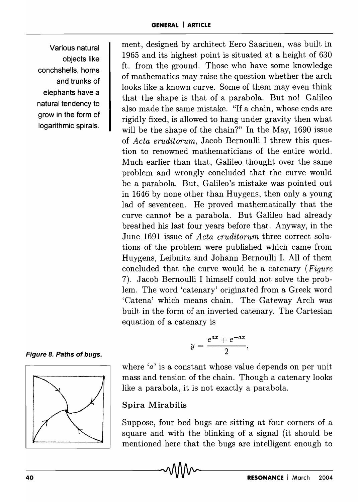Various natural objects like conchshells, horns and trunks of elephants have a natural tendency to grow in the form of logarithmic spirals.

ment, designed by architect Eero Saarinen, was built in 1965 and its highest point is situated at a height of 630 ft. from the ground. Those who have some knowledge of mathematics may raise the question whether the arch looks like a known curve. Some of them may even think that the shape is that of a parabola. But no! Galileo also made the same mistake. "If a chain, whose ends are rigidly fixed, is allowed to hang under gravity then what will be the shape of the chain?" In the May, 1690 issue of *Acta eruditorum,* Jacob Bernoulli I threw this question to renowned mathematicians of the entire world. Much earlier than that, Galileo thought over the same problem and wrongly concluded that the curve would be a parabola. But, Galileo's mistake was pointed out in 1646 by none other than Huygens, then only a young lad of seventeen. He proved mathematically that the curve cannot. be a parabola. But Galileo had already breathed his last four years before that. Anyway, in the June 1691 issue of *Acta eruditorum* three correct solutions of the problem were published which came from Huygens, Leibnitz and Johann Bernoulli I. All of them concluded that the curve would be a catenary *(Figure*  7). Jacob Bernoulli I himself could not solve the problem. The word 'catenary' originated from a Greek word 'Catena' which means chain. The Gateway Arch was built in the form of an inverted catenary. The Cartesian equation of a catenary is

Figure 8. Paths of bugs.



where '*a*' is a constant whose value depends on per unit mass and tension of the chain. Though a catenary looks like a parabola, it is not exactly a parabola.

 $y=\frac{e^{ax}+e^{-ax}}{2},$ 

## Spira Mirabilis

Suppose, four bed bugs are sitting at four corners of a square and with the blinking of a signal (it should be mentioned here that the bugs are intelligent enough to Example 12 and 2004<br>mentioned here that the bugs are intelligent enough to<br> $\frac{1}{2004}$